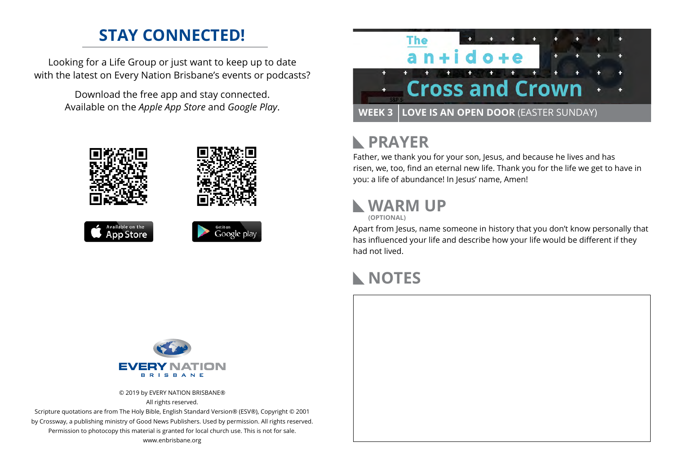## **STAY CONNECTED!**

Looking for a Life Group or just want to keep up to date with the latest on Every Nation Brisbane's events or podcasts?

> Download the free app and stay connected. Available on the *Apple App Store* and *Google Play*.





### **PRAYER**  $\mathbb{R}$

Father, we thank you for your son, Jesus, and because he lives and has risen, we, too, find an eternal new life. Thank you for the life we get to have in you: a life of abundance! In Jesus' name, Amen!

# **WARM UP**

**(OPTIONAL)**

Apart from Jesus, name someone in history that you don't know personally that has influenced your life and describe how your life would be different if they had not lived.

# **NOTES**



© 2019 by EVERY NATION BRISBANE® All rights reserved.

Scripture quotations are from The Holy Bible, English Standard Version® (ESV®), Copyright © 2001 by Crossway, a publishing ministry of Good News Publishers. Used by permission. All rights reserved. Permission to photocopy this material is granted for local church use. This is not for sale. www.enbrisbane.org